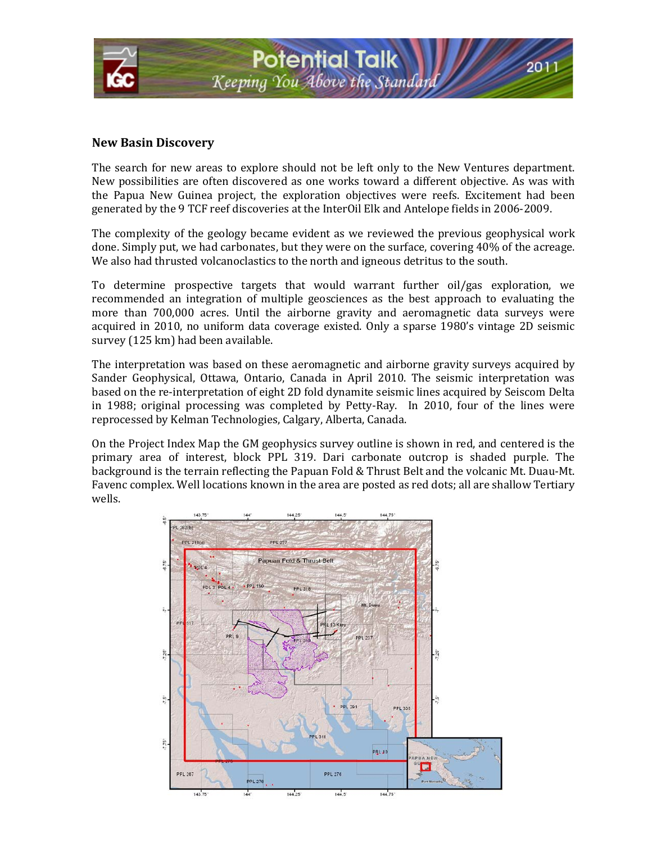

#### **New Basin Discovery**

The search for new areas to explore should not be left only to the New Ventures department. New possibilities are often discovered as one works toward a different objective. As was with the Papua New Guinea project, the exploration objectives were reefs. Excitement had been generated by the 9 TCF reef discoveries at the InterOil Elk and Antelope fields in 2006-2009.

The complexity of the geology became evident as we reviewed the previous geophysical work done. Simply put, we had carbonates, but they were on the surface, covering 40% of the acreage. We also had thrusted volcanoclastics to the north and igneous detritus to the south.

To determine prospective targets that would warrant further oil/gas exploration, we recommended an integration of multiple geosciences as the best approach to evaluating the more than 700,000 acres. Until the airborne gravity and aeromagnetic data surveys were acquired in 2010, no uniform data coverage existed. Only a sparse 1980's vintage 2D seismic survey (125 km) had been available.

The interpretation was based on these aeromagnetic and airborne gravity surveys acquired by Sander Geophysical, Ottawa, Ontario, Canada in April 2010. The seismic interpretation was based on the re-interpretation of eight 2D fold dynamite seismic lines acquired by Seiscom Delta in 1988; original processing was completed by Petty-Ray. In 2010, four of the lines were reprocessed by Kelman Technologies, Calgary, Alberta, Canada.

On the Project Index Map the GM geophysics survey outline is shown in red, and centered is the primary area of interest, block PPL 319. Dari carbonate outcrop is shaded purple. The background is the terrain reflecting the Papuan Fold & Thrust Belt and the volcanic Mt. Duau-Mt. Favenc complex. Well locations known in the area are posted as red dots; all are shallow Tertiary wells.

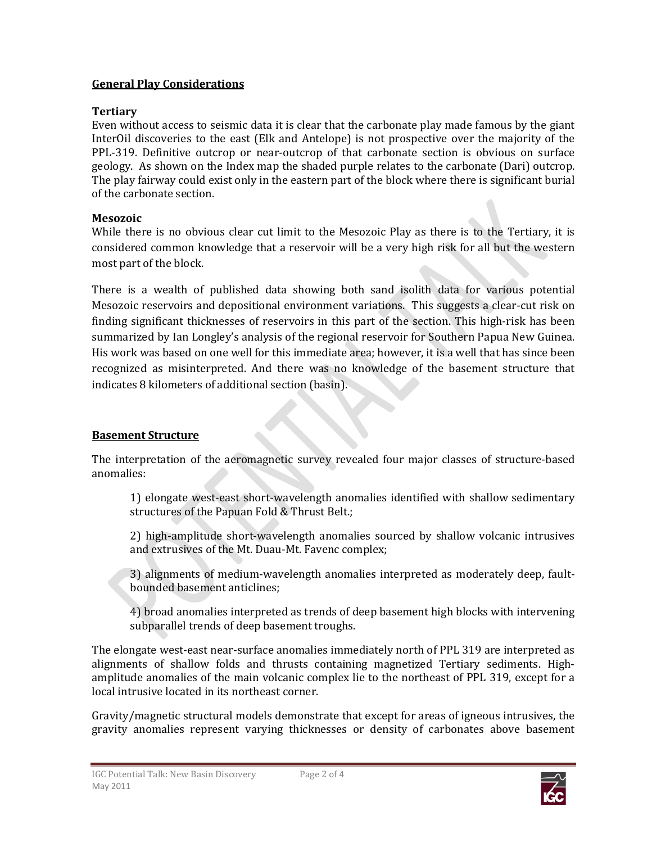### **General Play Considerations**

### **Tertiary**

Even without access to seismic data it is clear that the carbonate play made famous by the giant InterOil discoveries to the east (Elk and Antelope) is not prospective over the majority of the PPL-319. Definitive outcrop or near-outcrop of that carbonate section is obvious on surface geology. As shown on the Index map the shaded purple relates to the carbonate (Dari) outcrop. The play fairway could exist only in the eastern part of the block where there is significant burial of the carbonate section.

#### **Mesozoic**

While there is no obvious clear cut limit to the Mesozoic Play as there is to the Tertiary, it is considered common knowledge that a reservoir will be a very high risk for all but the western most part of the block.

There is a wealth of published data showing both sand isolith data for various potential Mesozoic reservoirs and depositional environment variations. This suggests a clear-cut risk on finding significant thicknesses of reservoirs in this part of the section. This high-risk has been summarized by Ian Longley's analysis of the regional reservoir for Southern Papua New Guinea. His work was based on one well for this immediate area; however, it is a well that has since been recognized as misinterpreted. And there was no knowledge of the basement structure that indicates 8 kilometers of additional section (basin).

## **Basement Structure**

The interpretation of the aeromagnetic survey revealed four major classes of structure-based anomalies:

1) elongate west-east short-wavelength anomalies identified with shallow sedimentary structures of the Papuan Fold & Thrust Belt.;

2) high-amplitude short-wavelength anomalies sourced by shallow volcanic intrusives and extrusives of the Mt. Duau-Mt. Favenc complex;

3) alignments of medium-wavelength anomalies interpreted as moderately deep, faultbounded basement anticlines;

4) broad anomalies interpreted as trends of deep basement high blocks with intervening subparallel trends of deep basement troughs.

The elongate west-east near-surface anomalies immediately north of PPL 319 are interpreted as alignments of shallow folds and thrusts containing magnetized Tertiary sediments. Highamplitude anomalies of the main volcanic complex lie to the northeast of PPL 319, except for a local intrusive located in its northeast corner.

Gravity/magnetic structural models demonstrate that except for areas of igneous intrusives, the gravity anomalies represent varying thicknesses or density of carbonates above basement

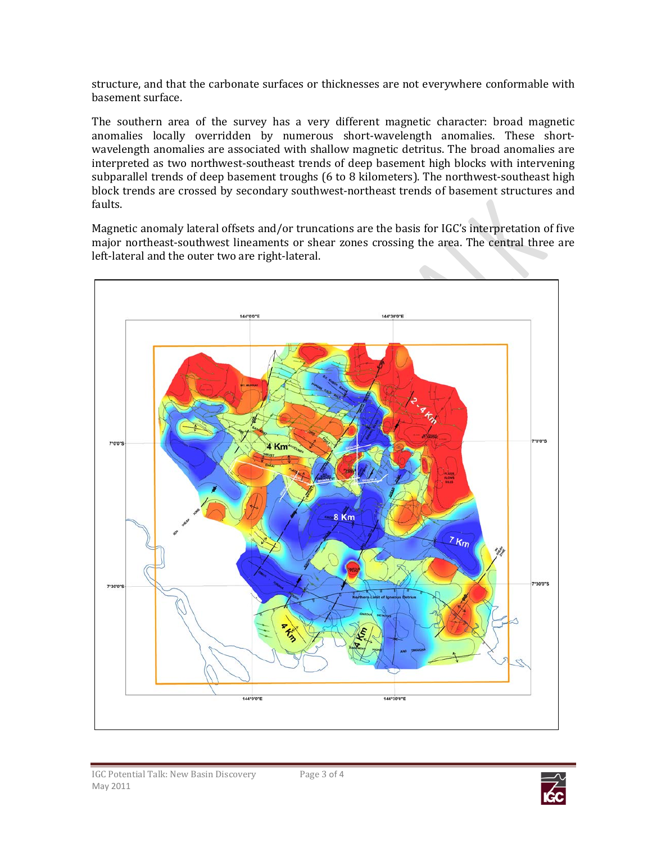structure, and that the carbonate surfaces or thicknesses are not everywhere conformable with basement surface.

The southern area of the survey has a very different magnetic character: broad magnetic anomalies locally overridden by numerous short-wavelength anomalies. These shortwavelength anomalies are associated with shallow magnetic detritus. The broad anomalies are interpreted as two northwest-southeast trends of deep basement high blocks with intervening subparallel trends of deep basement troughs (6 to 8 kilometers). The northwest-southeast high block trends are crossed by secondary southwest-northeast trends of basement structures and faults.

Magnetic anomaly lateral offsets and/or truncations are the basis for IGC's interpretation of five major northeast-southwest lineaments or shear zones crossing the area. The central three are left-lateral and the outer two are right-lateral.